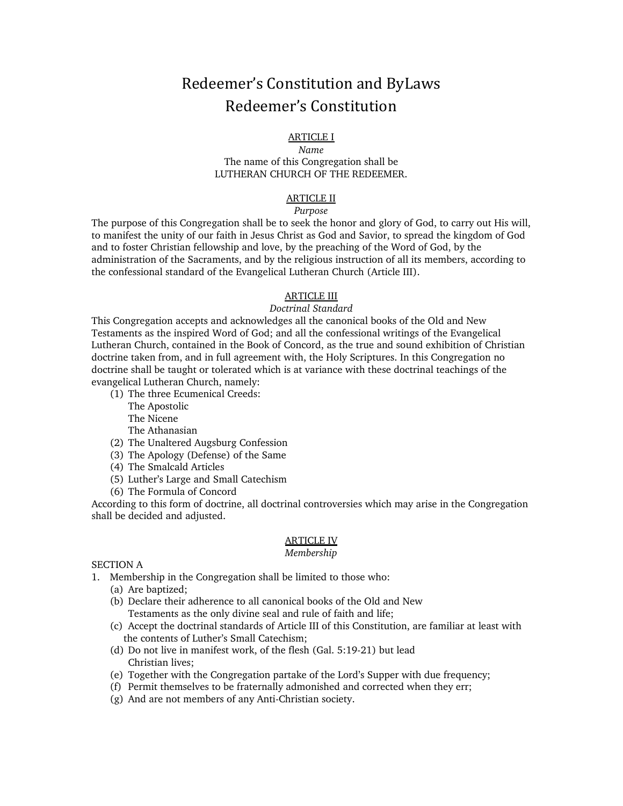# Redeemer's Constitution and ByLaws Redeemer's Constitution

### ARTICLE I

### *Name* The name of this Congregation shall be LUTHERAN CHURCH OF THE REDEEMER.

### ARTICLE II

### *Purpose*

The purpose of this Congregation shall be to seek the honor and glory of God, to carry out His will, to manifest the unity of our faith in Jesus Christ as God and Savior, to spread the kingdom of God and to foster Christian fellowship and love, by the preaching of the Word of God, by the administration of the Sacraments, and by the religious instruction of all its members, according to the confessional standard of the Evangelical Lutheran Church (Article III).

### ARTICLE III

### *Doctrinal Standard*

This Congregation accepts and acknowledges all the canonical books of the Old and New Testaments as the inspired Word of God; and all the confessional writings of the Evangelical Lutheran Church, contained in the Book of Concord, as the true and sound exhibition of Christian doctrine taken from, and in full agreement with, the Holy Scriptures. In this Congregation no doctrine shall be taught or tolerated which is at variance with these doctrinal teachings of the evangelical Lutheran Church, namely:

- (1) The three Ecumenical Creeds:
	- The Apostolic
	- The Nicene
	- The Athanasian
- (2) The Unaltered Augsburg Confession
- (3) The Apology (Defense) of the Same
- (4) The Smalcald Articles
- (5) Luther's Large and Small Catechism
- (6) The Formula of Concord

According to this form of doctrine, all doctrinal controversies which may arise in the Congregation shall be decided and adjusted.

## ARTICLE IV

### *Membership*

SECTION A

- 1. Membership in the Congregation shall be limited to those who:
	- (a) Are baptized;
	- (b) Declare their adherence to all canonical books of the Old and New Testaments as the only divine seal and rule of faith and life;
	- (c) Accept the doctrinal standards of Article III of this Constitution, are familiar at least with the contents of Luther's Small Catechism;
	- (d) Do not live in manifest work, of the flesh (Gal. 5:19-21) but lead Christian lives;
	- (e) Together with the Congregation partake of the Lord's Supper with due frequency;
	- (f) Permit themselves to be fraternally admonished and corrected when they err;
	- (g) And are not members of any Anti-Christian society.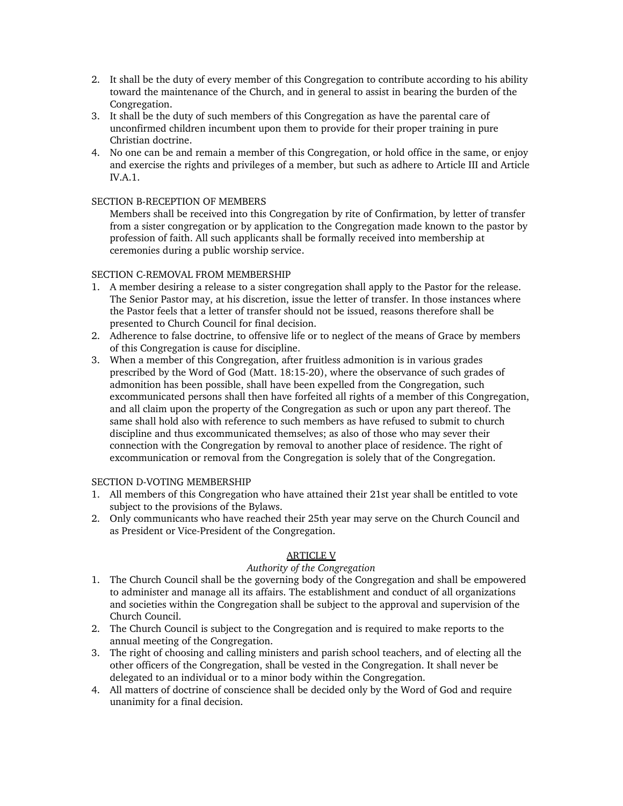- 2. It shall be the duty of every member of this Congregation to contribute according to his ability toward the maintenance of the Church, and in general to assist in bearing the burden of the Congregation.
- 3. It shall be the duty of such members of this Congregation as have the parental care of unconfirmed children incumbent upon them to provide for their proper training in pure Christian doctrine.
- 4. No one can be and remain a member of this Congregation, or hold office in the same, or enjoy and exercise the rights and privileges of a member, but such as adhere to Article III and Article IV.A.1.

### SECTION B-RECEPTION OF MEMBERS

Members shall be received into this Congregation by rite of Confirmation, by letter of transfer from a sister congregation or by application to the Congregation made known to the pastor by profession of faith. All such applicants shall be formally received into membership at ceremonies during a public worship service.

### SECTION C-REMOVAL FROM MEMBERSHIP

- 1. A member desiring a release to a sister congregation shall apply to the Pastor for the release. The Senior Pastor may, at his discretion, issue the letter of transfer. In those instances where the Pastor feels that a letter of transfer should not be issued, reasons therefore shall be presented to Church Council for final decision.
- 2. Adherence to false doctrine, to offensive life or to neglect of the means of Grace by members of this Congregation is cause for discipline.
- 3. When a member of this Congregation, after fruitless admonition is in various grades prescribed by the Word of God (Matt. 18:15-20), where the observance of such grades of admonition has been possible, shall have been expelled from the Congregation, such excommunicated persons shall then have forfeited all rights of a member of this Congregation, and all claim upon the property of the Congregation as such or upon any part thereof. The same shall hold also with reference to such members as have refused to submit to church discipline and thus excommunicated themselves; as also of those who may sever their connection with the Congregation by removal to another place of residence. The right of excommunication or removal from the Congregation is solely that of the Congregation.

### SECTION D-VOTING MEMBERSHIP

- 1. All members of this Congregation who have attained their 21st year shall be entitled to vote subject to the provisions of the Bylaws.
- 2. Only communicants who have reached their 25th year may serve on the Church Council and as President or Vice-President of the Congregation.

### ARTICLE V

### *Authority of the Congregation*

- 1. The Church Council shall be the governing body of the Congregation and shall be empowered to administer and manage all its affairs. The establishment and conduct of all organizations and societies within the Congregation shall be subject to the approval and supervision of the Church Council.
- 2. The Church Council is subject to the Congregation and is required to make reports to the annual meeting of the Congregation.
- 3. The right of choosing and calling ministers and parish school teachers, and of electing all the other officers of the Congregation, shall be vested in the Congregation. It shall never be delegated to an individual or to a minor body within the Congregation.
- 4. All matters of doctrine of conscience shall be decided only by the Word of God and require unanimity for a final decision.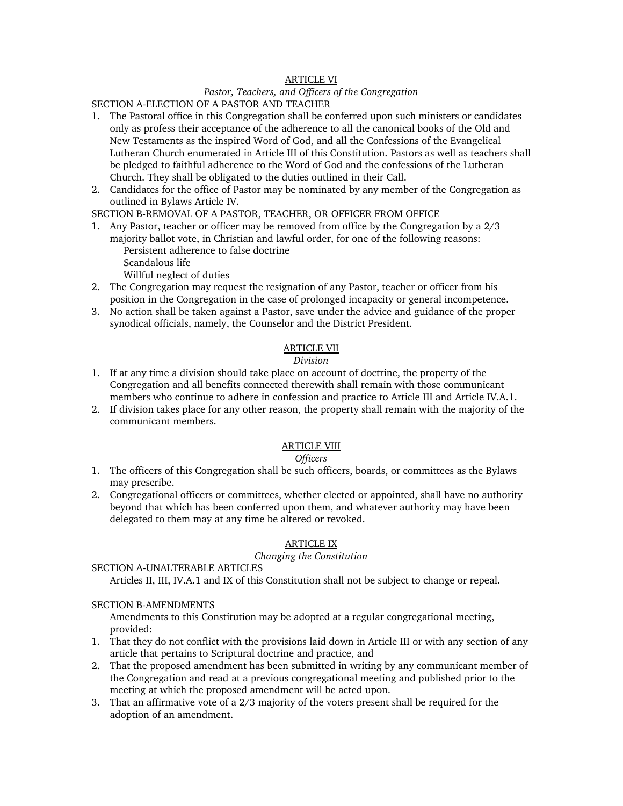### ARTICLE VI

### *Pastor, Teachers, and Officers of the Congregation*

SECTION A-ELECTION OF A PASTOR AND TEACHER

- 1. The Pastoral office in this Congregation shall be conferred upon such ministers or candidates only as profess their acceptance of the adherence to all the canonical books of the Old and New Testaments as the inspired Word of God, and all the Confessions of the Evangelical Lutheran Church enumerated in Article III of this Constitution. Pastors as well as teachers shall be pledged to faithful adherence to the Word of God and the confessions of the Lutheran Church. They shall be obligated to the duties outlined in their Call.
- 2. Candidates for the office of Pastor may be nominated by any member of the Congregation as outlined in Bylaws Article IV.

SECTION B-REMOVAL OF A PASTOR, TEACHER, OR OFFICER FROM OFFICE

1. Any Pastor, teacher or officer may be removed from office by the Congregation by a 2/3 majority ballot vote, in Christian and lawful order, for one of the following reasons: Persistent adherence to false doctrine Scandalous life

Willful neglect of duties

- 2. The Congregation may request the resignation of any Pastor, teacher or officer from his position in the Congregation in the case of prolonged incapacity or general incompetence.
- 3. No action shall be taken against a Pastor, save under the advice and guidance of the proper synodical officials, namely, the Counselor and the District President.

### ARTICLE VII

### *Division*

- 1. If at any time a division should take place on account of doctrine, the property of the Congregation and all benefits connected therewith shall remain with those communicant members who continue to adhere in confession and practice to Article III and Article IV.A.1.
- 2. If division takes place for any other reason, the property shall remain with the majority of the communicant members.

### ARTICLE VIII

### *Officers*

- 1. The officers of this Congregation shall be such officers, boards, or committees as the Bylaws may prescribe.
- 2. Congregational officers or committees, whether elected or appointed, shall have no authority beyond that which has been conferred upon them, and whatever authority may have been delegated to them may at any time be altered or revoked.

### ARTICLE IX

### *Changing the Constitution*

SECTION A-UNALTERABLE ARTICLES

Articles II, III, IV.A.1 and IX of this Constitution shall not be subject to change or repeal.

### SECTION B-AMENDMENTS

Amendments to this Constitution may be adopted at a regular congregational meeting, provided:

- 1. That they do not conflict with the provisions laid down in Article III or with any section of any article that pertains to Scriptural doctrine and practice, and
- 2. That the proposed amendment has been submitted in writing by any communicant member of the Congregation and read at a previous congregational meeting and published prior to the meeting at which the proposed amendment will be acted upon.
- 3. That an affirmative vote of a 2/3 majority of the voters present shall be required for the adoption of an amendment.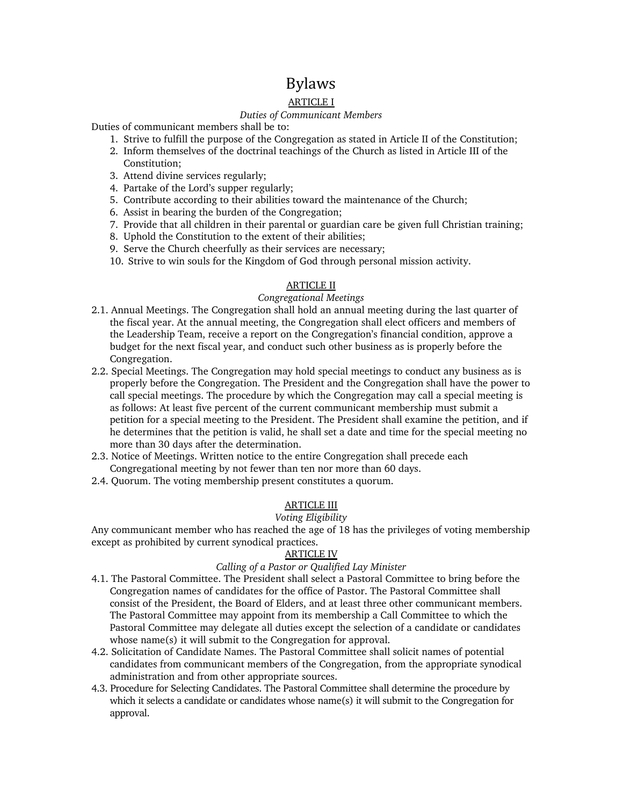## Bylaws

### ARTICLE I

### *Duties of Communicant Members*

Duties of communicant members shall be to:

- 1. Strive to fulfill the purpose of the Congregation as stated in Article II of the Constitution;
- 2. Inform themselves of the doctrinal teachings of the Church as listed in Article III of the Constitution;
- 3. Attend divine services regularly;
- 4. Partake of the Lord's supper regularly;
- 5. Contribute according to their abilities toward the maintenance of the Church;
- 6. Assist in bearing the burden of the Congregation;
- 7. Provide that all children in their parental or guardian care be given full Christian training;
- 8. Uphold the Constitution to the extent of their abilities;
- 9. Serve the Church cheerfully as their services are necessary;
- 10. Strive to win souls for the Kingdom of God through personal mission activity.

### **ARTICLE II**

### *Congregational Meetings*

- 2.1. Annual Meetings. The Congregation shall hold an annual meeting during the last quarter of the fiscal year. At the annual meeting, the Congregation shall elect officers and members of the Leadership Team, receive a report on the Congregation's financial condition, approve a budget for the next fiscal year, and conduct such other business as is properly before the Congregation.
- 2.2. Special Meetings. The Congregation may hold special meetings to conduct any business as is properly before the Congregation. The President and the Congregation shall have the power to call special meetings. The procedure by which the Congregation may call a special meeting is as follows: At least five percent of the current communicant membership must submit a petition for a special meeting to the President. The President shall examine the petition, and if he determines that the petition is valid, he shall set a date and time for the special meeting no more than 30 days after the determination.
- 2.3. Notice of Meetings. Written notice to the entire Congregation shall precede each Congregational meeting by not fewer than ten nor more than 60 days.
- 2.4. Quorum. The voting membership present constitutes a quorum.

## ARTICLE III

### *Voting Eligibility*

Any communicant member who has reached the age of 18 has the privileges of voting membership except as prohibited by current synodical practices.

### ARTICLE IV

### *Calling of a Pastor or Qualified Lay Minister*

- 4.1. The Pastoral Committee. The President shall select a Pastoral Committee to bring before the Congregation names of candidates for the office of Pastor. The Pastoral Committee shall consist of the President, the Board of Elders, and at least three other communicant members. The Pastoral Committee may appoint from its membership a Call Committee to which the Pastoral Committee may delegate all duties except the selection of a candidate or candidates whose name(s) it will submit to the Congregation for approval.
- 4.2. Solicitation of Candidate Names. The Pastoral Committee shall solicit names of potential candidates from communicant members of the Congregation, from the appropriate synodical administration and from other appropriate sources.
- 4.3. Procedure for Selecting Candidates. The Pastoral Committee shall determine the procedure by which it selects a candidate or candidates whose name(s) it will submit to the Congregation for approval.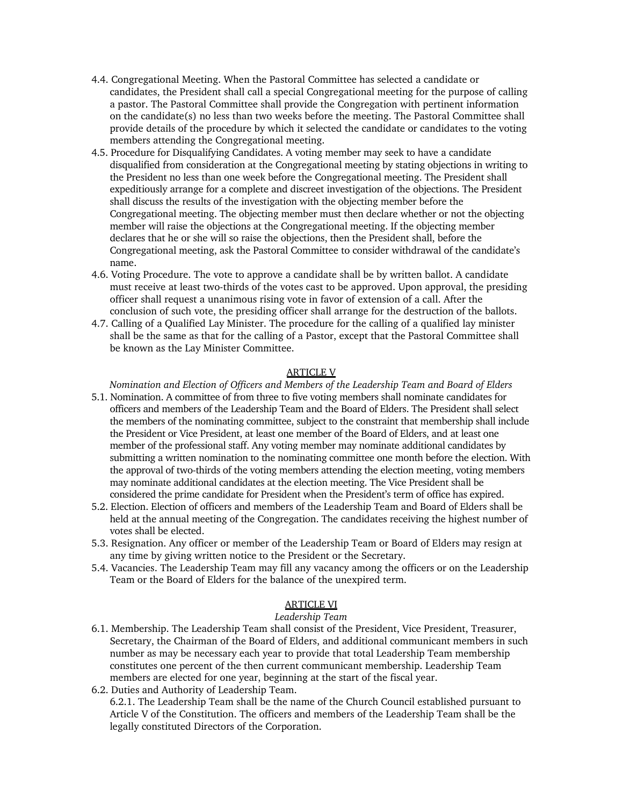- 4.4. Congregational Meeting. When the Pastoral Committee has selected a candidate or candidates, the President shall call a special Congregational meeting for the purpose of calling a pastor. The Pastoral Committee shall provide the Congregation with pertinent information on the candidate(s) no less than two weeks before the meeting. The Pastoral Committee shall provide details of the procedure by which it selected the candidate or candidates to the voting members attending the Congregational meeting.
- 4.5. Procedure for Disqualifying Candidates. A voting member may seek to have a candidate disqualified from consideration at the Congregational meeting by stating objections in writing to the President no less than one week before the Congregational meeting. The President shall expeditiously arrange for a complete and discreet investigation of the objections. The President shall discuss the results of the investigation with the objecting member before the Congregational meeting. The objecting member must then declare whether or not the objecting member will raise the objections at the Congregational meeting. If the objecting member declares that he or she will so raise the objections, then the President shall, before the Congregational meeting, ask the Pastoral Committee to consider withdrawal of the candidate's name.
- 4.6. Voting Procedure. The vote to approve a candidate shall be by written ballot. A candidate must receive at least two-thirds of the votes cast to be approved. Upon approval, the presiding officer shall request a unanimous rising vote in favor of extension of a call. After the conclusion of such vote, the presiding officer shall arrange for the destruction of the ballots.
- 4.7. Calling of a Qualified Lay Minister. The procedure for the calling of a qualified lay minister shall be the same as that for the calling of a Pastor, except that the Pastoral Committee shall be known as the Lay Minister Committee.

### ARTICLE V

*Nomination and Election of Officers and Members of the Leadership Team and Board of Elders*

- 5.1. Nomination. A committee of from three to five voting members shall nominate candidates for officers and members of the Leadership Team and the Board of Elders. The President shall select the members of the nominating committee, subject to the constraint that membership shall include the President or Vice President, at least one member of the Board of Elders, and at least one member of the professional staff. Any voting member may nominate additional candidates by submitting a written nomination to the nominating committee one month before the election. With the approval of two-thirds of the voting members attending the election meeting, voting members may nominate additional candidates at the election meeting. The Vice President shall be considered the prime candidate for President when the President's term of office has expired.
- 5.2. Election. Election of officers and members of the Leadership Team and Board of Elders shall be held at the annual meeting of the Congregation. The candidates receiving the highest number of votes shall be elected.
- 5.3. Resignation. Any officer or member of the Leadership Team or Board of Elders may resign at any time by giving written notice to the President or the Secretary.
- 5.4. Vacancies. The Leadership Team may fill any vacancy among the officers or on the Leadership Team or the Board of Elders for the balance of the unexpired term.

### ARTICLE VI

### *Leadership Team*

- 6.1. Membership. The Leadership Team shall consist of the President, Vice President, Treasurer, Secretary, the Chairman of the Board of Elders, and additional communicant members in such number as may be necessary each year to provide that total Leadership Team membership constitutes one percent of the then current communicant membership. Leadership Team members are elected for one year, beginning at the start of the fiscal year.
- 6.2. Duties and Authority of Leadership Team. 6.2.1. The Leadership Team shall be the name of the Church Council established pursuant to Article V of the Constitution. The officers and members of the Leadership Team shall be the legally constituted Directors of the Corporation.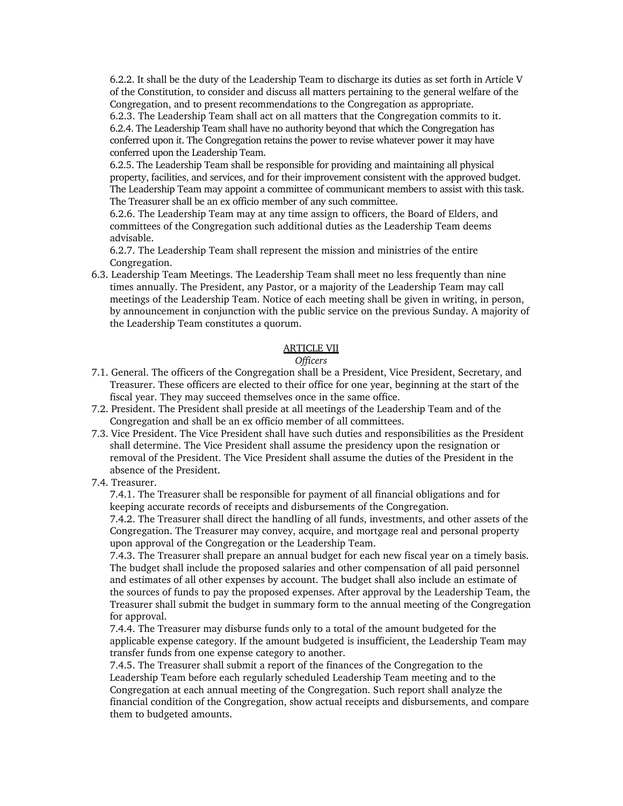6.2.2. It shall be the duty of the Leadership Team to discharge its duties as set forth in Article V of the Constitution, to consider and discuss all matters pertaining to the general welfare of the Congregation, and to present recommendations to the Congregation as appropriate.

6.2.3. The Leadership Team shall act on all matters that the Congregation commits to it. 6.2.4. The Leadership Team shall have no authority beyond that which the Congregation has conferred upon it. The Congregation retains the power to revise whatever power it may have conferred upon the Leadership Team.

6.2.5. The Leadership Team shall be responsible for providing and maintaining all physical property, facilities, and services, and for their improvement consistent with the approved budget. The Leadership Team may appoint a committee of communicant members to assist with this task. The Treasurer shall be an ex officio member of any such committee.

6.2.6. The Leadership Team may at any time assign to officers, the Board of Elders, and committees of the Congregation such additional duties as the Leadership Team deems advisable.

6.2.7. The Leadership Team shall represent the mission and ministries of the entire Congregation.

6.3. Leadership Team Meetings. The Leadership Team shall meet no less frequently than nine times annually. The President, any Pastor, or a majority of the Leadership Team may call meetings of the Leadership Team. Notice of each meeting shall be given in writing, in person, by announcement in conjunction with the public service on the previous Sunday. A majority of the Leadership Team constitutes a quorum.

### ARTICLE VII

### *Officers*

- 7.1. General. The officers of the Congregation shall be a President, Vice President, Secretary, and Treasurer. These officers are elected to their office for one year, beginning at the start of the fiscal year. They may succeed themselves once in the same office.
- 7.2. President. The President shall preside at all meetings of the Leadership Team and of the Congregation and shall be an ex officio member of all committees.
- 7.3. Vice President. The Vice President shall have such duties and responsibilities as the President shall determine. The Vice President shall assume the presidency upon the resignation or removal of the President. The Vice President shall assume the duties of the President in the absence of the President.
- 7.4. Treasurer.

7.4.1. The Treasurer shall be responsible for payment of all financial obligations and for keeping accurate records of receipts and disbursements of the Congregation.

7.4.2. The Treasurer shall direct the handling of all funds, investments, and other assets of the Congregation. The Treasurer may convey, acquire, and mortgage real and personal property upon approval of the Congregation or the Leadership Team.

7.4.3. The Treasurer shall prepare an annual budget for each new fiscal year on a timely basis. The budget shall include the proposed salaries and other compensation of all paid personnel and estimates of all other expenses by account. The budget shall also include an estimate of the sources of funds to pay the proposed expenses. After approval by the Leadership Team, the Treasurer shall submit the budget in summary form to the annual meeting of the Congregation for approval.

7.4.4. The Treasurer may disburse funds only to a total of the amount budgeted for the applicable expense category. If the amount budgeted is insufficient, the Leadership Team may transfer funds from one expense category to another.

7.4.5. The Treasurer shall submit a report of the finances of the Congregation to the Leadership Team before each regularly scheduled Leadership Team meeting and to the Congregation at each annual meeting of the Congregation. Such report shall analyze the financial condition of the Congregation, show actual receipts and disbursements, and compare them to budgeted amounts.